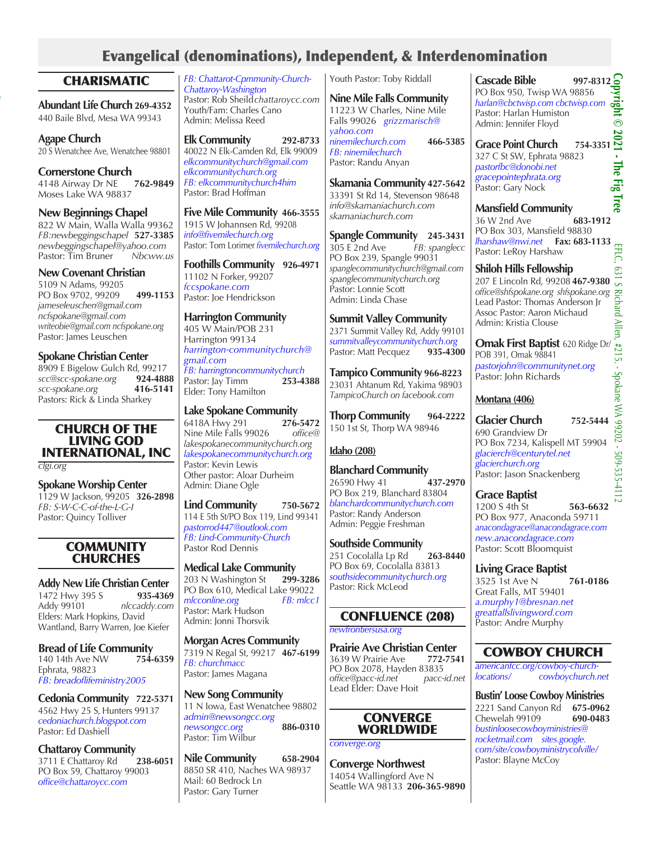# Evangelical (denominations), Independent, & Interdenomination

## **CHARISMATIC**

**Abundant Life Church 269-4352** 440 Baile Blvd, Mesa WA 99343

185 Chelan Ave

**Agape Church** 20 S Wenatchee Ave, Wenatchee 98801

**Cornerstone Church** 4148 Airway Dr NE **762-9849** Moses Lake WA 98837

**New Beginnings Chapel**  822 W Main, Walla Walla 99362 *FB:newbeggingschapel* **527-3385** *newbeggingschapel@yahoo.com* Pastor: Tim Bruner *Nbcww.us* 

### **New Covenant Christian**

5109 N Adams, 99205 PO Box 9702, 99209 **499-1153** *jameseleuschen@gmail.com ncfspokane@gmail.com writeobie@gmail.com ncfspokane.org* Pastor: James Leuschen

**Spokane Christian Center**

8909 E Bigelow Gulch Rd, 99217<br>scc@scc-spokane.org 924-4888  $scc@scc-spokane.org$ *scc-spokane.org* **416-5141** Pastors: Rick & Linda Sharkey

### CHURCH OF THE LIVING GOD INTERNATIONAL, INC

*clgi.org*

**Spokane Worship Center** 1129 W Jackson, 99205 **326-2898** *FB: S-W-C-C-of-the-L-G-I* Pastor: Quincy Tolliver

### **COMMUNITY CHURCHES**

**Addy New Life Christian Center** 1472 Hwy 395 S<br>Addy 99101 Addy 99101 *nlccaddy.com* Elders: Mark Hopkins, David Wantland, Barry Warren, Joe Kiefer

**Bread of Life Community**<br>140 14th Ave NW 754-6359 140 14th Ave NW Ephrata, 98823 *FB: breadoflifeministry2005*

**Cedonia Community 722-5371** 4562 Hwy 25 S, Hunters 99137 *cedoniachurch.blogspot.com* Pastor: Ed Dashiell

**Chattaroy Community**<br>3711 E Chattaroy Rd 238-6051 3711 E Chattaroy Rd PO Box 59, Chattaroy 99003 *office@chattaroycc.com*

*FB: Chattarot-Cpmmunity-Church-Chattaroy-Washington* Pastor: Rob Sheild*chattaroycc.com* Youth/Fam: Charles Cano Admin: Melissa Reed

**Elk Community 292-8733** 40022 N Elk-Camden Rd, Elk 99009 *elkcommunitychurch@gmail.com elkcommunitychurch.org FB: elkcommunitychurch4him* Pastor: Brad Hoffman

**Five Mile Community 466-3555** 1915 W Johannsen Rd, 99208 *info@fivemilechurch.org* Pastor: Tom Lorimer *fivemilechurch.org*

**Foothills Community 926-4971** 11102 N Forker, 99207 *fccspokane.com* Pastor: Joe Hendrickson

**Harrington Community** 405 W Main/POB 231 Harrington 99134 *harrington-communitychurch@ gmail.com*

*FB: harringtoncommunitychurch* Pastor: Jay Timm **253-4388** Elder: Tony Hamilton

### **Lake Spokane Community**

6418A Hwy 291 **276-5472** Nine Mile Falls 99026 *lakespokanecommunitychurch.org lakespokanecommunitychurch.org* Pastor: Kevin Lewis Other pastor: Aloar Durheim Admin: Diane Ogle

**Lind Community 750-5672** 114 E 5th St/PO Box 119, Lind 99341 *pastorrod447@outlook.com FB: Lind-Community-Church* Pastor Rod Dennis

**Medical Lake Community** 203 N Washington St **299-3286** PO Box 610, Medical Lake 99022<br>mlcconline.org FB: mlcc1  $m$ *FR: mlcconline.org* Pastor: Mark Hudson Admin: Jonni Thorsvik

**Morgan Acres Community** 7319 N Regal St, 99217 **467-6199** *FB: churchmacc* Pastor: James Magana

**New Song Community**  11 N Iowa, East Wenatchee 98802 *admin@newsongcc.org newsongcc.org* **886-0310** Pastor: Tim Wilbur

**Nile Community 658-2904** 8850 SR 410, Naches WA 98937 Mail: 60 Bedrock Ln Pastor: Gary Turner

Youth Pastor: Toby Riddall

#### **Nine Mile Falls Community** 11223 W Charles, Nine Mile Falls 99026 *grizzmarisch@ yahoo.com ninemilechurch.com* **466-5385**

*FB: ninemilechurch* Pastor: Randu Anyan

**Skamania Community 427-5642** 33391 St Rd 14, Stevenson 98648 *info@skamaniachurch.com skamaniachurch.com*

**Spangle Community 245-3431** 305 E 2nd Ave *FB: spanglecc* PO Box 239, Spangle 99031 *spanglecommunitychurch@gmail.com spanglecommunitychurch.org* Pastor: Lonnie Scott Admin: Linda Chase

**Summit Valley Community**  2371 Summit Valley Rd, Addy 99101 *summitvalleycommunitychurch.org* Pastor: Matt Pecquez

**Tampico Community 966-8223** 23031 Ahtanum Rd, Yakima 98903 *TampicoChurch on facebook.com* 

**Thorp Community 964-2222** 150 1st St, Thorp WA 98946

## **Idaho (208)**

**Blanchard Community** 26590 Hwy 41 **437-2970** PO Box 219, Blanchard 83804 *blanchardcommunitychurch.com* Pastor: Randy Anderson Admin: Peggie Freshman

**Southside Community** 251 Cocolalla Lp Rd **263-8440** PO Box 69, Cocolalla 83813 *southsidecommunitychurch.org* Pastor: Rick McLeod

## CONFLUENCE (208)

*newfrontiersusa.org*

**Prairie Ave Christian Center**<br>3639 W Prairie Ave 772-7541 3639 W Prairie Ave PO Box 2078, Hayden 83835<br>office@pacc-id.net pacc-id.net *office@pacc-id.net pacc-id.net* Lead Elder: Dave Hoit

### **CONVERGE WORLDWIDE**

*converge.org*

**Converge Northwest** 14054 Wallingford Ave N Seattle WA 98133 **206-365-9890** **Cascade Bible** 997-8312<br>
PO Box 950, Twisp WA 98856<br>
harlan@cbctwisp.com cbctwisp.com<br>
Pastor: Harlan Humiston<br>
Admin: Jennifer Floyd PO Box 950, Twisp WA 98856 *harlan@cbctwisp.com cbctwisp.com* Pastor: Harlan Humiston Admin: Jennifer Floyd

**Grace Point Church 754-3351** 327 C St SW, Ephrata 98823 *pastorfbc@donobi.net gracepointephrata.org* Pastor: Gary Nock

**Mansfield Community** 36 W 2nd Ave **683-1912** PO Box 303, Mansfield 98830 *lharshaw@nwi.net* **Fax: 683-1133** Pastor: LeRoy Harshaw

**Shiloh Hills Fellowship** 207 E Lincoln Rd, 99208 **467-9380** *office@shfspokane.org shfspokane.org* Lead Pastor: Thomas Anderson Jr Assoc Pastor: Aaron Michaud

Admin: Kristia Clouse **Omak First Baptist** 620 Ridge Dr/ POB 391, Omak 98841 *pastorjohn@communitynet.org*

Pastor: John Richards

## **Montana (406)**

**Glacier Church 752-5444** 690 Grandview Dr PO Box 7234, Kalispell MT 59904 *glacierch@centurytel.net glacierchurch.org* Pastor: Jason Snackenberg

**Grace Baptist** 1200 S 4th St **563-6632** PO Box 977, Anaconda 59711 *anacondagrace@anacondagrace.com new.anacondagrace.com*

Pastor: Scott Bloomquist

**Living Grace Baptist**

3525 1st Ave N **761-0186** Great Falls, MT 59401 *a.murphy1@bresnan.net greatfallslivingword.com* Pastor: Andre Murphy

# COWBOY CHURCH

*americanfcc.org/cowboy-churchlocations/ cowboychurch.net*

**Bustin' Loose Cowboy Ministries** 2221 Sand Canyon Rd **675-0962** Chewelah 99109 **690-0483** *bustinloosecowboyministries@ rocketmail.com sites.google. com/site/cowboyministrycolville/*

Pastor: Blayne McCoy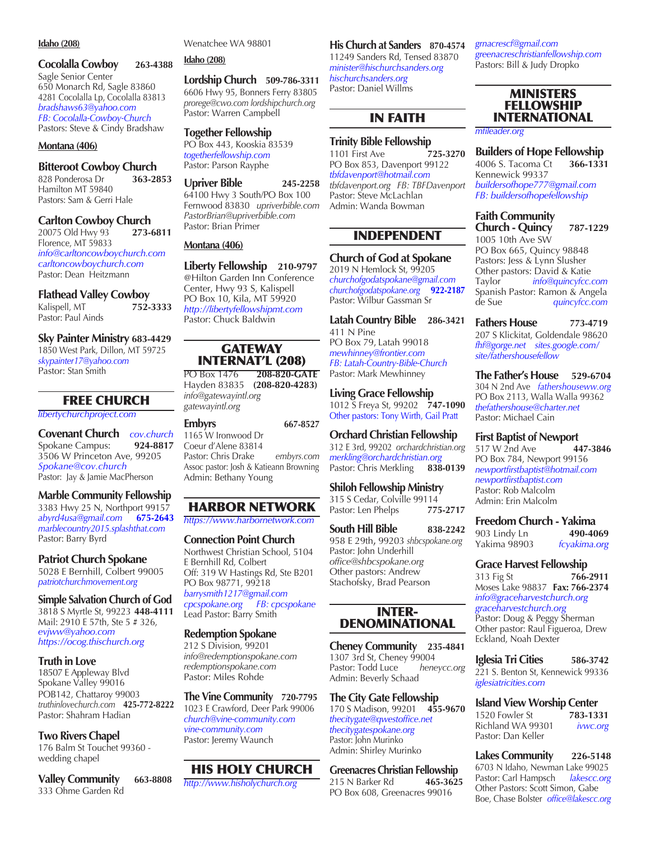#### **Idaho (208)**

#### **Cocolalla Cowboy 263-4388** Sagle Senior Center 650 Monarch Rd, Sagle 83860 4281 Cocolalla Lp, Cocolalla 83813 *bradshaws63@yahoo.com*

*FB: Cocolalla-Cowboy-Church* Pastors: Steve & Cindy Bradshaw

#### **Montana (406)**

### **Bitteroot Cowboy Church**

828 Ponderosa Dr **363-2853** Hamilton MT 59840 Pastors: Sam & Gerri Hale

# **Carlton Cowboy Church**<br>20075 Old Hwy 93 **273-6811**

20075 Old Hwy 93 Florence, MT 59833 *info@carltoncowboychurch.com carltoncowboychurch.com* Pastor: Dean Heitzmann

#### **Flathead Valley Cowboy**

| Kalispell, MT      | 752-3333 |
|--------------------|----------|
| Pastor: Paul Ainds |          |

#### **Sky Painter Ministry 683-4429**

1850 West Park, Dillon, MT 59725 *skypainter17@yahoo.com* Pastor: Stan Smith

### FREE CHURCH

#### *libertychurchproject.com*

**Covenant Church** *cov.church* Spokane Campus: **924-8817** 3506 W Princeton Ave, 99205 *Spokane@cov.church* Pastor: Jay & Jamie MacPherson

#### **Marble Community Fellowship**

3383 Hwy 25 N, Northport 99157<br>abyrd4usa@gmail.com 675-2643 *abyrd4usa@gmail.com* **675-2643** *marblecountry2015.splashthat.com* Pastor: Barry Byrd

#### **Patriot Church Spokane**

5028 E Bernhill, Colbert 99005 *patriotchurchmovement.org*

#### **Simple Salvation Church of God**

3818 S Myrtle St, 99223 **448-4111** Mail: 2910 E 57th, Ste 5 # 326, *evjww@yahoo.com https://ocog.thischurch.org*

#### **Truth in Love**

18507 E Appleway Blvd Spokane Valley 99016 POB142, Chattaroy 99003 *truthinlovechurch.com* **425-772-8222** Pastor: Shahram Hadian

### **Two Rivers Chapel**

176 Balm St Touchet 99360 wedding chapel

**Valley Community 663-8808** 333 Ohme Garden Rd

Wenatchee WA 98801

### **Idaho (208)**

#### **Lordship Church 509-786-3311** 6606 Hwy 95, Bonners Ferry 83805 *prorege@cwo.com lordshipchurch.org* Pastor: Warren Campbell

**Together Fellowship** PO Box 443, Kooskia 83539 *togetherfellowship.com* Pastor: Parson Rayphe

#### **Upriver Bible 245-2258** 64100 Hwy 3 South/PO Box 100 Fernwood 83830 *upriverbible.com PastorBrian@upriverbible.com* Pastor: Brian Primer

#### **Montana (406)**

**Liberty Fellowship 210-9797** @Hilton Garden Inn Conference Center, Hwy 93 S, Kalispell PO Box 10, Kila, MT 59920 *http://libertyfellowshipmt.com* Pastor: Chuck Baldwin

### **GATEWAY** INTERNAT'L (208)

PO Box 1476 **208-820-GATE** Hayden 83835 **(208-820-4283)** *info@gatewayintl.org gatewayintl.org*

| <b>Embyrs</b>                          | 667-8527   |
|----------------------------------------|------------|
| 1165 W Ironwood Dr                     |            |
| Coeur d'Alene 83814                    |            |
| Pastor: Chris Drake                    | embyrs.com |
| Assoc pastor: Josh & Katieann Browning |            |
| Admin: Bethany Young                   |            |
|                                        |            |

# HARBOR NETWORK

*https://www.harbornetwork.com*

#### **Connection Point Church** Northwest Christian School, 5104 E Bernhill Rd, Colbert Off: 319 W Hastings Rd, Ste B201 PO Box 98771, 99218 *barrysmith1217@gmail.com cpcspokane.org FB: cpcspokane*  Lead Pastor: Barry Smith

#### **Redemption Spokane**

212 S Division, 99201 *info@redemptionspokane.com redemptionspokane.com* Pastor: Miles Rohde

**The Vine Community 720-7795** 1023 E Crawford, Deer Park 99006 *church@vine-community.com vine-community.com* Pastor: Jeremy Waunch

### HIS HOLY CHURCH

*http://www.hisholychurch.org*

**His Church at Sanders 870-4574** 11249 Sanders Rd, Tensed 83870 *minister@hischurchsanders.org hischurchsanders.org* Pastor: Daniel Willms

### IN FAITH

# **Trinity Bible Fellowship**<br>1101 First Ave **125-3270**

1101 First Ave PO Box 853, Davenport 99122 *tbfdavenport@hotmail.com tbfdavenport.org FB: TBFDavenport* Pastor: Steve McLachlan Admin: Wanda Bowman

### INDEPENDENT

#### **Church of God at Spokane**

2019 N Hemlock St, 99205 *churchofgodatspokane@gmail.com churchofgodatspokane.org* **922-2187** Pastor: Wilbur Gassman Sr

**Latah Country Bible 286-3421** 411 N Pine PO Box 79, Latah 99018 *mewhinney@frontier.com*

*FB: Latah-Country-Bible-Church* Pastor: Mark Mewhinney

#### **Living Grace Fellowship**

1012 S Freya St, 99202 **747-1090** Other pastors: Tony Wirth, Gail Pratt

#### **Orchard Christian Fellowship**

312 E 3rd, 99202 *orchardchristian.org merkling@orchardchristian.org* Pastor: Chris Merkling **838-0139**

#### **Shiloh Fellowship Ministry**

315 S Cedar, Colville 99114<br>Pastor: Len Phelps 775-2717 Pastor: Len Phelps

#### **South Hill Bible 838-2242** 958 E 29th, 99203 *shbcspokane.org* Pastor: John Underhill *office@shbcspokane.org* Other pastors: Andrew Stachofsky, Brad Pearson

#### INTER-DENOMINATIONAL

**Cheney Community 235-4841** 1307 3rd St, Cheney 99004 Pastor: Todd Luce *heneycc.org* Admin: Beverly Schaad

**The City Gate Fellowship** 170 S Madison, 99201 **455-9670** *thecitygate@qwestoffice.net thecitygatespokane.org*  Pastor: John Murinko Admin: Shirley Murinko

**Greenacres Christian Fellowship** 215 N Barker Rd **465-3625** PO Box 608, Greenacres 99016

*grnacrescf@gmail.com greenacreschristianfellowship.com* Pastors: Bill & Judy Dropko

### MINISTERS FELLOWSHIP INTERNATIONAL

*mfileader.org*

**Builders of Hope Fellowship**<br>4006 S. Tacoma Ct **366-1331** 4006 S. Tacoma Ct **366-1331** Kennewick 99337 *buildersofhope777@gmail.com FB: buildersofhopefellowship*

**Faith Community** 

**Church - Quincy 787-1229** 1005 10th Ave SW PO Box 665, Quincy 98848 Pastors: Jess & Lynn Slusher Other pastors: David & Katie<br>Taylor *info@quincyfcc.*  $info@quincyfcc.com$ Spanish Pastor: Ramon & Angela<br>de Sue *quincyfcc.com* quincyfcc.com

**Fathers House 773-4719** 207 S Klickitat, Goldendale 98620 *fhf@gorge.net sites.google.com/ site/fathershousefellow*

**The Father's House 529-6704** 304 N 2nd Ave *fathershouseww.org* PO Box 2113, Walla Walla 99362 *thefathershouse@charter.net* Pastor: Michael Cain

#### **First Baptist of Newport**

517 W 2nd Ave **447-3846** PO Box 784, Newport 99156 *newportfirstbaptist@hotmail.com newportfirstbaptist.com* Pastor: Rob Malcolm Admin: Erin Malcolm

#### **Freedom Church - Yakima**

903 Lindy Ln **490-4069** Yakima 98903 *fcyakima.org*

#### **Grace Harvest Fellowship**

313 Fig St **766-2911** Moses Lake 98837 **Fax: 766-2374** *info@graceharvestchurch.org graceharvestchurch.org* Pastor: Doug & Peggy Sherman Other pastor: Raul Figueroa, Drew Eckland, Noah Dexter

**Iglesia Tri Cities 586-3742** 221 S. Benton St, Kennewick 99336 *iglesiatricities.com*

#### **Island View Worship Center**

1520 Fowler St **783-1331** Richland WA 99301 *ivwc.org* Pastor: Dan Keller

**Lakes Community 226-5148** 6703 N Idaho, Newman Lake 99025<br>Pastor: Carl Hampsch *lakescc.org* Pastor: Carl Hampsch Other Pastors: Scott Simon, Gabe Boe, Chase Bolster *office@lakescc.org*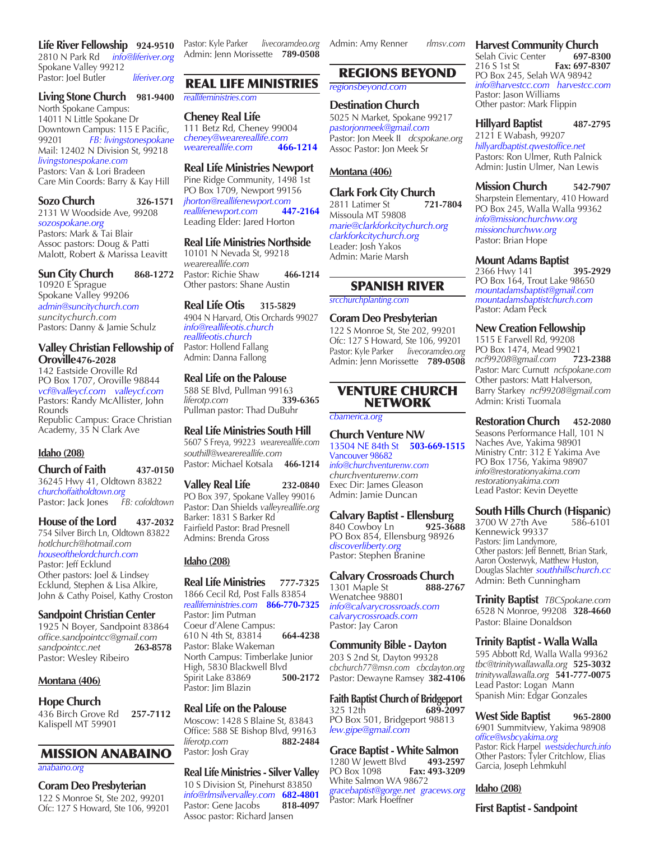**Life River Fellowship 924-9510** 2810 N Park Rd *info@liferiver.org* Spokane Valley 99212 Pastor: Joel Butler *liferiver.org*

#### **Living Stone Church 981-9400**

North Spokane Campus: 14011 N Little Spokane Dr Downtown Campus: 115 E Pacific, 99201 *FB: livingstonespokane*  Mail: 12402 N Division St, 99218 *livingstonespokane.com* Pastors: Van & Lori Bradeen Care Min Coords: Barry & Kay Hill

#### **Sozo Church 326-1571**

2131 W Woodside Ave, 99208 *sozospokane.org* Pastors: Mark & Tai Blair Assoc pastors: Doug & Patti Malott, Robert & Marissa Leavitt

#### **Sun City Church 868-1272**

10920 E Sprague Spokane Valley 99206 *admin@suncitychurch.com suncitychurch.com* Pastors: Danny & Jamie Schulz

#### **Valley Christian Fellowship of Oroville476-2028**

142 Eastside Oroville Rd PO Box 1707, Oroville 98844 *vcf@valleycf.com valleycf.com* Pastors: Randy McAllister, John Rounds Republic Campus: Grace Christian Academy, 35 N Clark Ave

#### **Idaho (208)**

**Church of Faith 437-0150** 36245 Hwy 41, Oldtown 83822 *churchoffaitholdtown.org* Pastor: Jack Jones *FB: cofoldtown*

#### **House of the Lord 437-2032**

754 Silver Birch Ln, Oldtown 83822 *hotlchurch@hotmail.com houseofthelordchurch.com* Pastor: Jeff Ecklund Other pastors: Joel & Lindsey Ecklund, Stephen & Lisa Alkire, John & Cathy Poisel, Kathy Croston

#### **Sandpoint Christian Center**

1925 N Boyer, Sandpoint 83864 *office.sandpointcc@gmail.com*  $s$ *andpointcc.net* Pastor: Wesley Ribeiro

#### **Montana (406)**

#### **Hope Church**

436 Birch Grove Rd **257-7112** Kalispell MT 59901

### MISSION ANABAINO

*anabaino.org*

### **Coram Deo Presbyterian**

122 S Monroe St, Ste 202, 99201 Ofc: 127 S Howard, Ste 106, 99201 Pastor: Kyle Parker *livecoramdeo.org* Admin: Jenn Morissette **789-0508**

### REAL LIFE MINISTRIES

#### *reallifeministries.com*

**Cheney Real Life** 111 Betz Rd, Cheney 99004 *cheney@wearereallife.com wearereallife.com* **466-1214**

#### **Real Life Ministries Newport**

Pine Ridge Community, 1498 1st PO Box 1709, Newport 99156 *jhorton@reallifenewport.com reallifenewport.com* **447-2164** Leading Elder: Jared Horton

#### **Real Life Ministries Northside**

10101 N Nevada St, 99218 *wearereallife.com* Pastor: Richie Shaw **466-1214** Other pastors: Shane Austin

#### **Real Life Otis 315-5829**

4904 N Harvard, Otis Orchards 99027 *info@reallifeotis.church reallifeotis.church* Pastor: Hollend Fallang Admin: Danna Fallong

#### **Real Life on the Palouse**

588 SE Blvd, Pullman 99163<br>*liferotp.com* 339-6365 *liferotp.com* **339-6365** Pullman pastor: Thad DuBuhr

#### **Real Life Ministries South Hill**

5607 S Freya, 99223 *wearereallife.com southill@wearereallife.com* Pastor: Michael Kotsala **466-1214**

#### **Valley Real Life 232-0840**

PO Box 397, Spokane Valley 99016 Pastor: Dan Shields *valleyreallife.org* Barker: 1831 S Barker Rd Fairfield Pastor: Brad Presnell Admins: Brenda Gross

#### **Idaho (208)**

**Real Life Ministries 777-7325** 1866 Cecil Rd, Post Falls 83854 *reallifeministries.com* **866-770-7325** Pastor: Jim Putman Coeur d'Alene Campus: 610 N 4th St, 83814 **664-4238** Pastor: Blake Wakeman North Campus: Timberlake Junior High, 5830 Blackwell Blvd Spirit Lake 83869 **500-2172** Pastor: Jim Blazin

#### **Real Life on the Palouse**

Moscow: 1428 S Blaine St, 83843 Office: 588 SE Bishop Blvd, 99163<br>*liferotp.com* 882-2484 *liferotp.com* **882-2484** Pastor: Josh Gray

#### **Real Life Ministries - Silver Valley** 10 S Division St, Pinehurst 83850

*info@rlmsilvervalley.com* **682-4801** Pastor: Gene Jacobs Assoc pastor: Richard Jansen

Admin: Amy Renner *rlmsv.com*

### REGIONS BEYOND

*regionsbeyond.com*

#### **Destination Church**

5025 N Market, Spokane 99217 *pastorjonmeek@gmail.com* Pastor: Jon Meek II *dcspokane.org* Assoc Pastor: Jon Meek Sr

#### **Montana (406)**

### **Clark Fork City Church**

2811 Latimer St **721-7804** Missoula MT 59808 *marie@clarkforkcitychurch.org clarkforkcitychurch.org* Leader: Josh Yakos Admin: Marie Marsh

#### SPANISH RIVER

#### *srcchurchplanting.com*

**Coram Deo Presbyterian** 122 S Monroe St, Ste 202, 99201

Ofc: 127 S Howard, Ste 106, 99201 Pastor: Kyle Parker *livecoramdeo.org* Admin: Jenn Morissette **789-0508**

#### VENTURE CHURCH NETWORK

*cbamerica.org*

### **Church Venture NW**

13504 NE 84th St **503-669-1515** Vancouver 98682 *info@churchventurenw.com churchventurenw.com* Exec Dir: James Gleason Admin: Jamie Duncan

#### **Calvary Baptist - Ellensburg**

840 Cowboy Ln **925-3688** PO Box 854, Ellensburg 98926 *discoverliberty.org* Pastor: Stephen Branine

### **Calvary Crossroads Church**

1301 Maple St **888-2767**  Wenatchee 98801 *info@calvarycrossroads.com calvarycrossroads.com* Pastor: Jay Caron

#### **Community Bible - Dayton**

203 S 2nd St, Dayton 99328 *cbchurch77@msn.com cbcdayton.org*  Pastor: Dewayne Ramsey **382-4106**

**Faith Baptist Church of Bridgeport** 325 12th **689-2097** PO Box 501, Bridgeport 98813 *lew.gipe@gmail.com*

#### **Grace Baptist - White Salmon** 1280 W Jewett Blvd **493-2597** PO Box 1098 **Fax: 493-3209**

White Salmon WA 98672 *gracebaptist@gorge.net gracews.org* Pastor: Mark Hoeffner

# **Harvest Community Church**<br>Selah Civic Center 697-8300

Selah Civic Center<br>216 S 1st St Fax: 697-8307 PO Box 245, Selah WA 98942 *info@harvestcc.com harvestcc.com* Pastor: Jason Williams Other pastor: Mark Flippin

#### **Hillyard Baptist 487-2795** 2121 E Wabash, 99207 *hillyardbaptist.qwestoffice.net* Pastors: Ron Ulmer, Ruth Palnick Admin: Justin Ulmer, Nan Lewis

**Mission Church 542-7907** Sharpstein Elementary, 410 Howard PO Box 245, Walla Walla 99362 *info@missionchurchww.org missionchurchww.org* Pastor: Brian Hope

#### **Mount Adams Baptist**

2366 Hwy 141 **395-2929** PO Box 164, Trout Lake 98650 *mountadamsbaptist@gmail.com mountadamsbaptistchurch.com* Pastor: Adam Peck

#### **New Creation Fellowship**

1515 E Farwell Rd, 99208 PO Box 1474, Mead 99021<br>ncf99208@gmail.com 723-2388 *ncf99208@gmail.com* **723-2388** Pastor: Marc Curnutt *ncfspokane.com* Other pastors: Matt Halverson, Barry Starkey *ncf99208@gmail.com* Admin: Kristi Tuomala

#### **Restoration Church 452-2080**

Seasons Performance Hall, 101 N Naches Ave, Yakima 98901 Ministry Cntr: 312 E Yakima Ave PO Box 1756, Yakima 98907 *info@restorationyakima.com restorationyakima.com* Lead Pastor: Kevin Deyette

# **South Hills Church (Hispanic)**<br>3700 W 27th Ave 586-6101

3700 W 27th Ave Kennewick 99337 Pastors: Jim Landymore, Other pastors: Jeff Bennett, Brian Stark, Aaron Oosterwyk, Matthew Huston, Douglas Slachter *southhillschurch.cc* Admin: Beth Cunningham

**Trinity Baptist** *TBCSpokane.com* 6528 N Monroe, 99208 **328-4660** Pastor: Blaine Donaldson

#### **Trinity Baptist - Walla Walla**

595 Abbott Rd, Walla Walla 99362 *tbc@trinitywallawalla.org* **525-3032** *trinitywallawalla.org* **541-777-0075** Lead Pastor: Logan Mann Spanish Min: Edgar Gonzales

**West Side Baptist 965-2800**  6901 Summitview, Yakima 98908 *office@wsbcyakima.org* Pastor: Rick Harpel *westsidechurch.info* Other Pastors: Tyler Critchlow, Elias Garcia, Joseph Lehmkuhl

**Idaho (208)**

**First Baptist - Sandpoint**